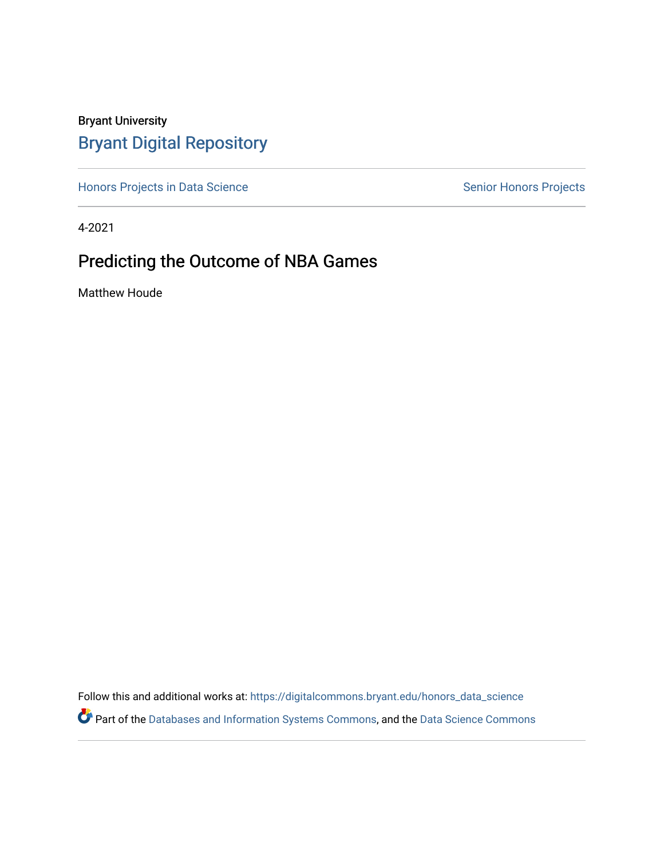# Bryant University [Bryant Digital Repository](https://digitalcommons.bryant.edu/)

[Honors Projects in Data Science](https://digitalcommons.bryant.edu/honors_data_science) Senior Honors Projects

4-2021

# Predicting the Outcome of NBA Games

Matthew Houde

Follow this and additional works at: [https://digitalcommons.bryant.edu/honors\\_data\\_science](https://digitalcommons.bryant.edu/honors_data_science?utm_source=digitalcommons.bryant.edu%2Fhonors_data_science%2F1&utm_medium=PDF&utm_campaign=PDFCoverPages)  Part of the [Databases and Information Systems Commons](http://network.bepress.com/hgg/discipline/145?utm_source=digitalcommons.bryant.edu%2Fhonors_data_science%2F1&utm_medium=PDF&utm_campaign=PDFCoverPages), and the [Data Science Commons](http://network.bepress.com/hgg/discipline/1429?utm_source=digitalcommons.bryant.edu%2Fhonors_data_science%2F1&utm_medium=PDF&utm_campaign=PDFCoverPages)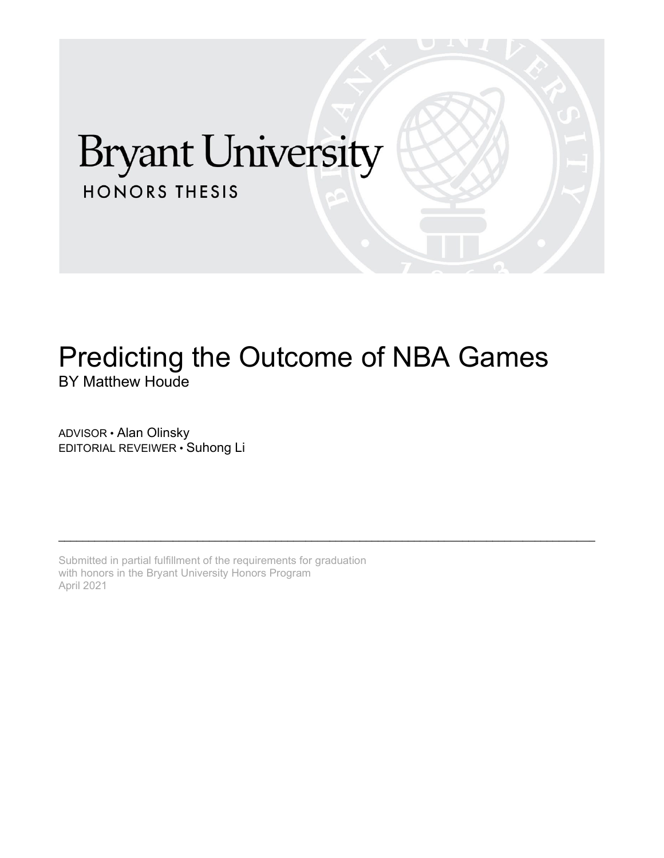# **Bryant University HONORS THESIS**

# Predicting the Outcome of NBA Games BY Matthew Houde

\_\_\_\_\_\_\_\_\_\_\_\_\_\_\_\_\_\_\_\_\_\_\_\_\_\_\_\_\_\_\_\_\_\_\_\_\_\_\_\_\_\_\_\_\_\_\_\_\_\_\_\_\_\_\_\_\_\_\_\_\_\_\_\_\_\_\_\_\_\_\_\_\_\_\_\_\_\_\_\_\_\_\_\_\_\_\_\_\_

ADVISOR • Alan Olinsky EDITORIAL REVEIWER • Suhong Li

Submitted in partial fulfillment of the requirements for graduation with honors in the Bryant University Honors Program April 2021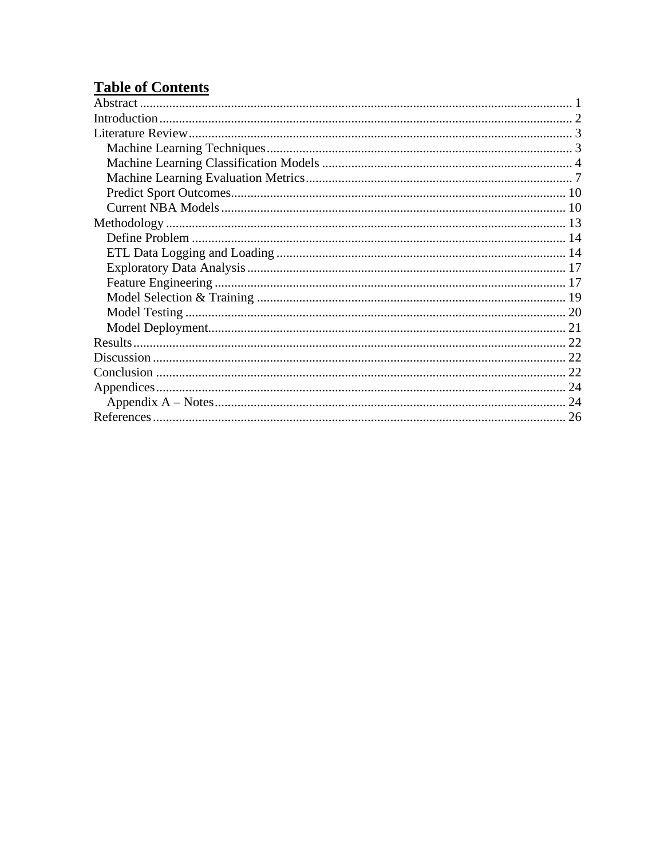# **Table of Contents**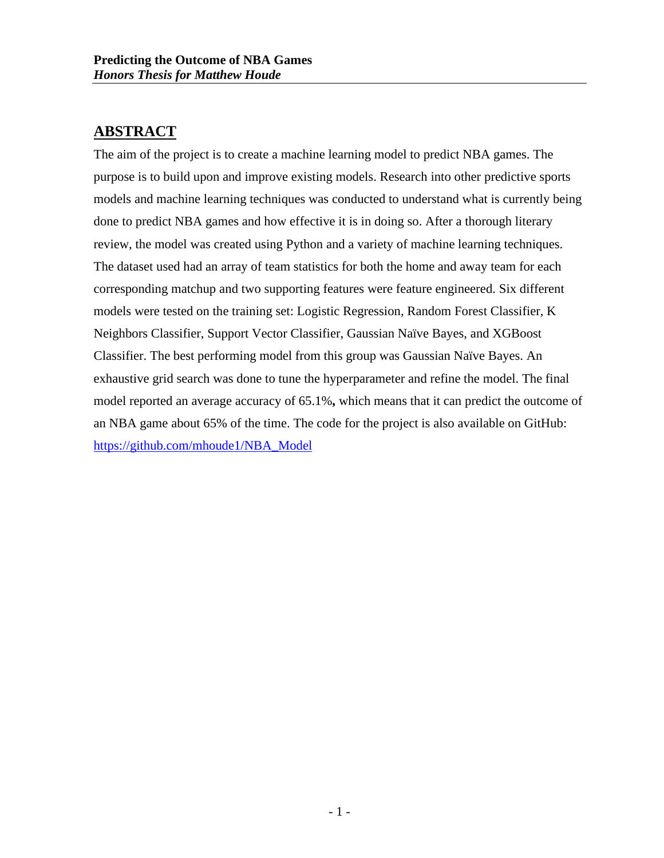### <span id="page-3-0"></span>**ABSTRACT**

The aim of the project is to create a machine learning model to predict NBA games. The purpose is to build upon and improve existing models. Research into other predictive sports models and machine learning techniques was conducted to understand what is currently being done to predict NBA games and how effective it is in doing so. After a thorough literary review, the model was created using Python and a variety of machine learning techniques. The dataset used had an array of team statistics for both the home and away team for each corresponding matchup and two supporting features were feature engineered. Six different models were tested on the training set: Logistic Regression, Random Forest Classifier, K Neighbors Classifier, Support Vector Classifier, Gaussian Naïve Bayes, and XGBoost Classifier. The best performing model from this group was Gaussian Naïve Bayes. An exhaustive grid search was done to tune the hyperparameter and refine the model. The final model reported an average accuracy of 65.1%**,** which means that it can predict the outcome of an NBA game about 65% of the time. The code for the project is also available on GitHub: [https://github.com/mhoude1/NBA\\_Model](https://github.com/mhoude1/NBA_Model)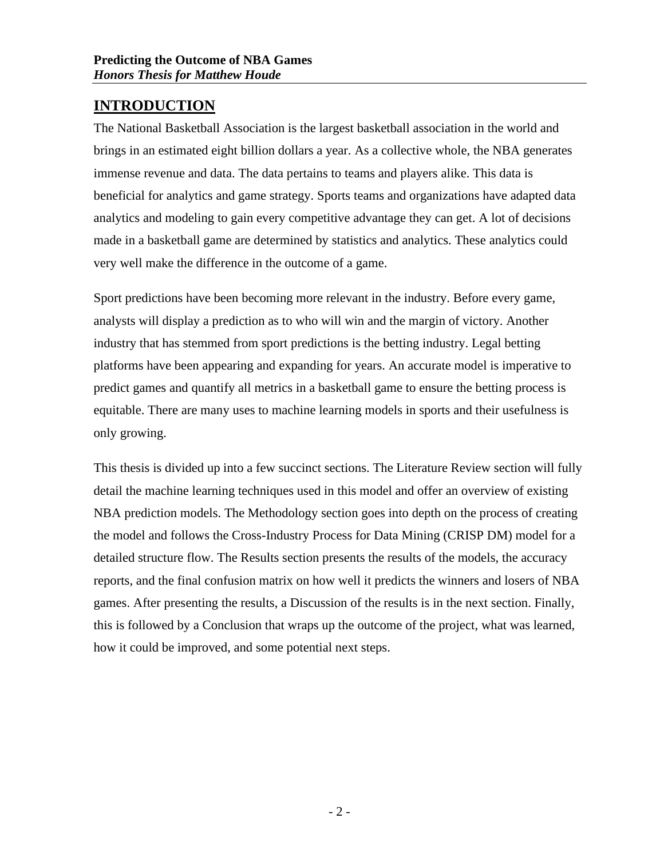# <span id="page-4-0"></span>**INTRODUCTION**

The National Basketball Association is the largest basketball association in the world and brings in an estimated eight billion dollars a year. As a collective whole, the NBA generates immense revenue and data. The data pertains to teams and players alike. This data is beneficial for analytics and game strategy. Sports teams and organizations have adapted data analytics and modeling to gain every competitive advantage they can get. A lot of decisions made in a basketball game are determined by statistics and analytics. These analytics could very well make the difference in the outcome of a game.

Sport predictions have been becoming more relevant in the industry. Before every game, analysts will display a prediction as to who will win and the margin of victory. Another industry that has stemmed from sport predictions is the betting industry. Legal betting platforms have been appearing and expanding for years. An accurate model is imperative to predict games and quantify all metrics in a basketball game to ensure the betting process is equitable. There are many uses to machine learning models in sports and their usefulness is only growing.

This thesis is divided up into a few succinct sections. The Literature Review section will fully detail the machine learning techniques used in this model and offer an overview of existing NBA prediction models. The Methodology section goes into depth on the process of creating the model and follows the Cross-Industry Process for Data Mining (CRISP DM) model for a detailed structure flow. The Results section presents the results of the models, the accuracy reports, and the final confusion matrix on how well it predicts the winners and losers of NBA games. After presenting the results, a Discussion of the results is in the next section. Finally, this is followed by a Conclusion that wraps up the outcome of the project, what was learned, how it could be improved, and some potential next steps.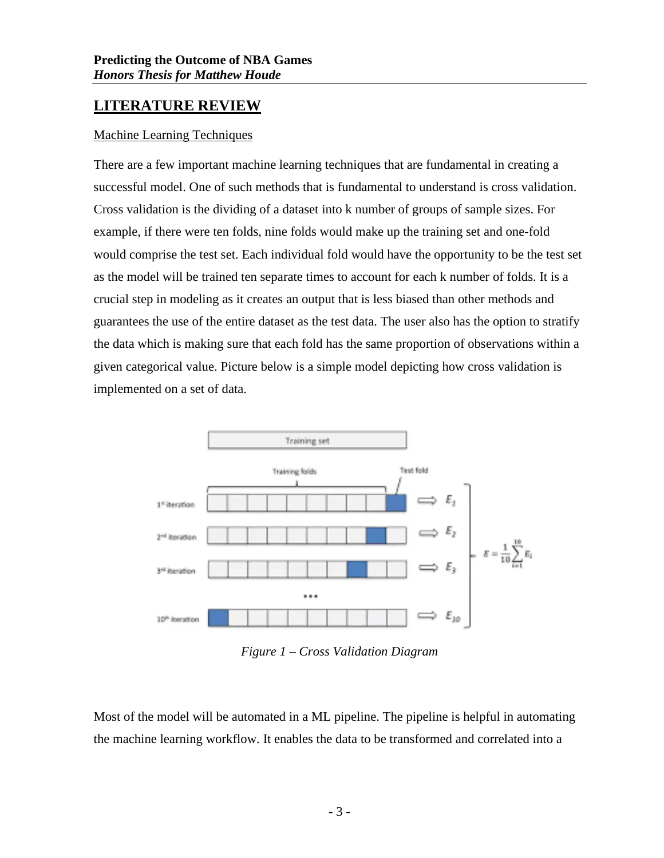## <span id="page-5-0"></span>**LITERATURE REVIEW**

#### <span id="page-5-1"></span>Machine Learning Techniques

There are a few important machine learning techniques that are fundamental in creating a successful model. One of such methods that is fundamental to understand is cross validation. Cross validation is the dividing of a dataset into k number of groups of sample sizes. For example, if there were ten folds, nine folds would make up the training set and one-fold would comprise the test set. Each individual fold would have the opportunity to be the test set as the model will be trained ten separate times to account for each k number of folds. It is a crucial step in modeling as it creates an output that is less biased than other methods and guarantees the use of the entire dataset as the test data. The user also has the option to stratify the data which is making sure that each fold has the same proportion of observations within a given categorical value. Picture below is a simple model depicting how cross validation is implemented on a set of data.



*Figure 1 – Cross Validation Diagram*

Most of the model will be automated in a ML pipeline. The pipeline is helpful in automating the machine learning workflow. It enables the data to be transformed and correlated into a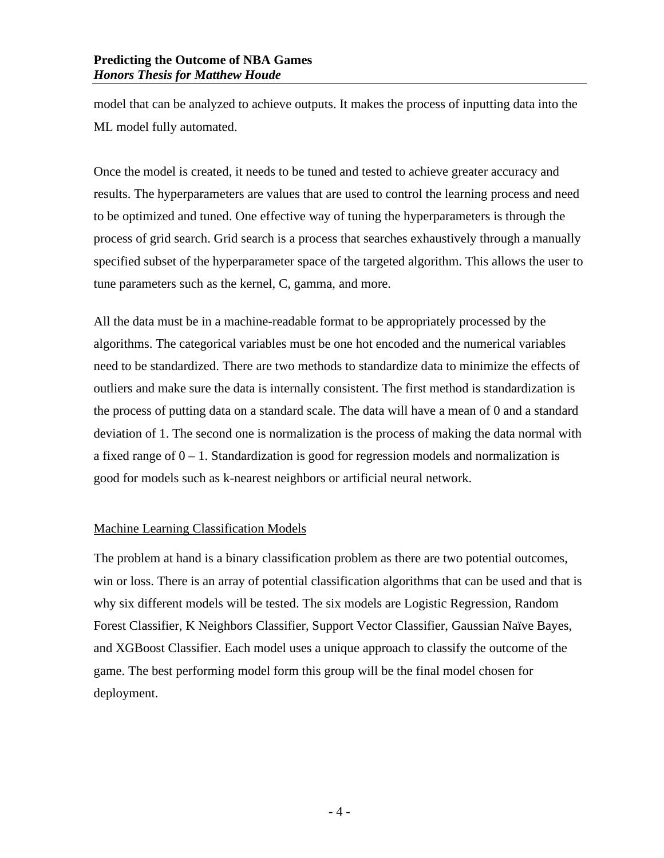model that can be analyzed to achieve outputs. It makes the process of inputting data into the ML model fully automated.

Once the model is created, it needs to be tuned and tested to achieve greater accuracy and results. The hyperparameters are values that are used to control the learning process and need to be optimized and tuned. One effective way of tuning the hyperparameters is through the process of grid search. Grid search is a process that searches exhaustively through a manually specified subset of the hyperparameter space of the targeted algorithm. This allows the user to tune parameters such as the kernel, C, gamma, and more.

All the data must be in a machine-readable format to be appropriately processed by the algorithms. The categorical variables must be one hot encoded and the numerical variables need to be standardized. There are two methods to standardize data to minimize the effects of outliers and make sure the data is internally consistent. The first method is standardization is the process of putting data on a standard scale. The data will have a mean of 0 and a standard deviation of 1. The second one is normalization is the process of making the data normal with a fixed range of  $0 - 1$ . Standardization is good for regression models and normalization is good for models such as k-nearest neighbors or artificial neural network.

#### <span id="page-6-0"></span>Machine Learning Classification Models

The problem at hand is a binary classification problem as there are two potential outcomes, win or loss. There is an array of potential classification algorithms that can be used and that is why six different models will be tested. The six models are Logistic Regression, Random Forest Classifier, K Neighbors Classifier, Support Vector Classifier, Gaussian Naïve Bayes, and XGBoost Classifier. Each model uses a unique approach to classify the outcome of the game. The best performing model form this group will be the final model chosen for deployment.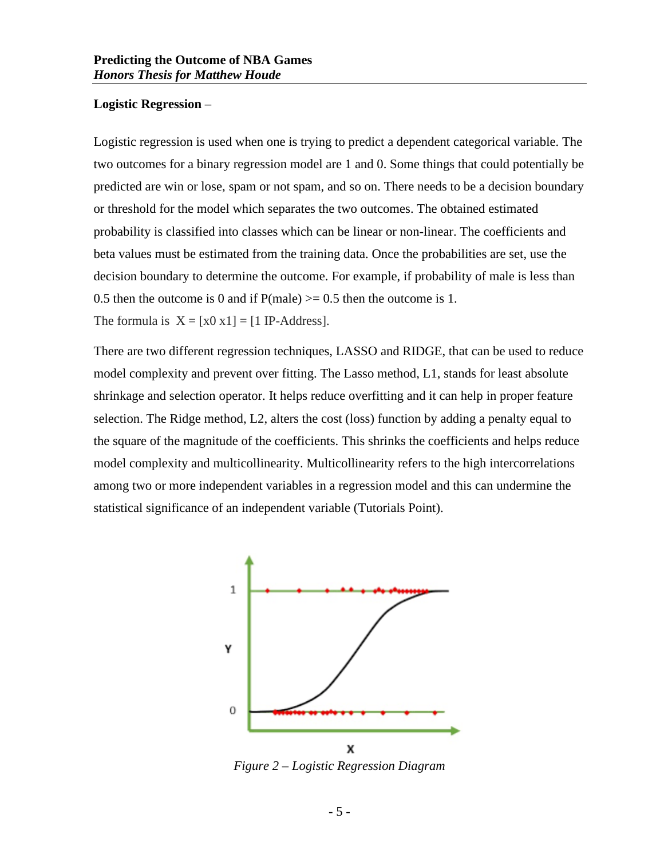#### **Logistic Regression** –

Logistic regression is used when one is trying to predict a dependent categorical variable. The two outcomes for a binary regression model are 1 and 0. Some things that could potentially be predicted are win or lose, spam or not spam, and so on. There needs to be a decision boundary or threshold for the model which separates the two outcomes. The obtained estimated probability is classified into classes which can be linear or non-linear. The coefficients and beta values must be estimated from the training data. Once the probabilities are set, use the decision boundary to determine the outcome. For example, if probability of male is less than 0.5 then the outcome is 0 and if  $P(male) \ge 0.5$  then the outcome is 1. The formula is  $X = [x0 x1] = [1 IP-Address]$ .

There are two different regression techniques, LASSO and RIDGE, that can be used to reduce model complexity and prevent over fitting. The Lasso method, L1, stands for least absolute shrinkage and selection operator. It helps reduce overfitting and it can help in proper feature selection. The Ridge method, L2, alters the cost (loss) function by adding a penalty equal to the square of the magnitude of the coefficients. This shrinks the coefficients and helps reduce model complexity and multicollinearity. Multicollinearity refers to the high intercorrelations among two or more independent variables in a regression model and this can undermine the statistical significance of an independent variable (Tutorials Point).



*Figure 2 – Logistic Regression Diagram*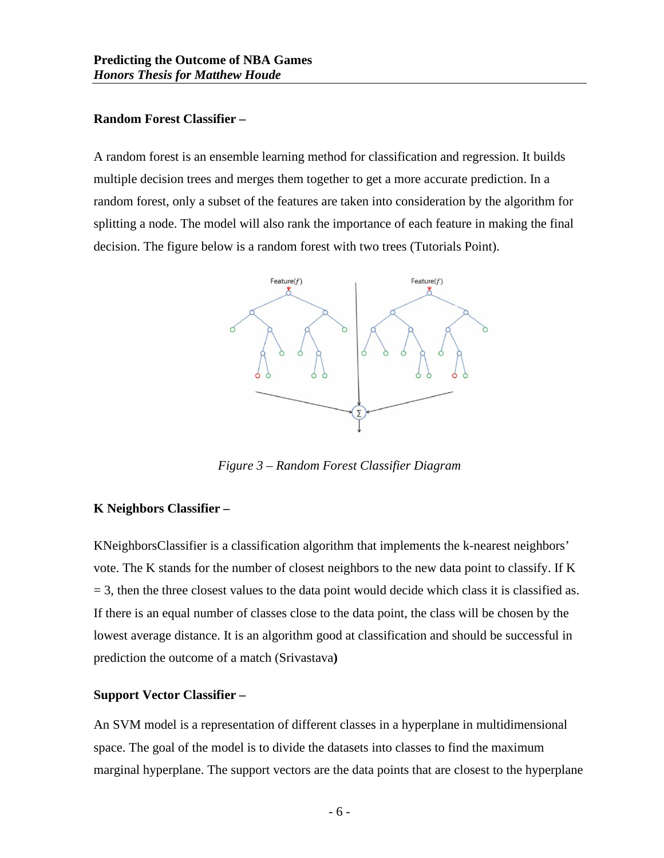#### **Random Forest Classifier –**

A random forest is an ensemble learning method for classification and regression. It builds multiple decision trees and merges them together to get a more accurate prediction. In a random forest, only a subset of the features are taken into consideration by the algorithm for splitting a node. The model will also rank the importance of each feature in making the final decision. The figure below is a random forest with two trees (Tutorials Point).



*Figure 3 – Random Forest Classifier Diagram*

#### **K Neighbors Classifier –**

KNeighborsClassifier is a classification algorithm that implements the k-nearest neighbors' vote. The K stands for the number of closest neighbors to the new data point to classify. If K  $=$  3, then the three closest values to the data point would decide which class it is classified as. If there is an equal number of classes close to the data point, the class will be chosen by the lowest average distance. It is an algorithm good at classification and should be successful in prediction the outcome of a match (Srivastava**)**

#### **Support Vector Classifier –**

An SVM model is a representation of different classes in a hyperplane in multidimensional space. The goal of the model is to divide the datasets into classes to find the maximum marginal hyperplane. The support vectors are the data points that are closest to the hyperplane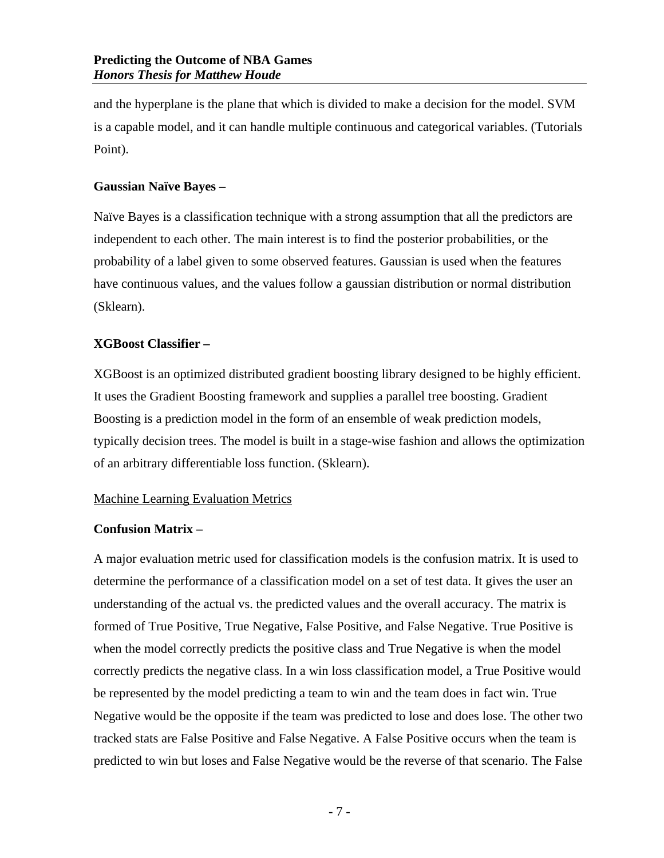and the hyperplane is the plane that which is divided to make a decision for the model. SVM is a capable model, and it can handle multiple continuous and categorical variables. (Tutorials Point).

#### **Gaussian Naïve Bayes –**

Naïve Bayes is a classification technique with a strong assumption that all the predictors are independent to each other. The main interest is to find the posterior probabilities, or the probability of a label given to some observed features. Gaussian is used when the features have continuous values, and the values follow a gaussian distribution or normal distribution (Sklearn).

#### **XGBoost Classifier –**

XGBoost is an optimized distributed gradient boosting library designed to be highly efficient. It uses the Gradient Boosting framework and supplies a parallel tree boosting. Gradient Boosting is a prediction model in the form of an ensemble of weak prediction models, typically decision trees. The model is built in a stage-wise fashion and allows the optimization of an arbitrary differentiable loss function. (Sklearn).

#### <span id="page-9-0"></span>Machine Learning Evaluation Metrics

#### **Confusion Matrix –**

A major evaluation metric used for classification models is the confusion matrix. It is used to determine the performance of a classification model on a set of test data. It gives the user an understanding of the actual vs. the predicted values and the overall accuracy. The matrix is formed of True Positive, True Negative, False Positive, and False Negative. True Positive is when the model correctly predicts the positive class and True Negative is when the model correctly predicts the negative class. In a win loss classification model, a True Positive would be represented by the model predicting a team to win and the team does in fact win. True Negative would be the opposite if the team was predicted to lose and does lose. The other two tracked stats are False Positive and False Negative. A False Positive occurs when the team is predicted to win but loses and False Negative would be the reverse of that scenario. The False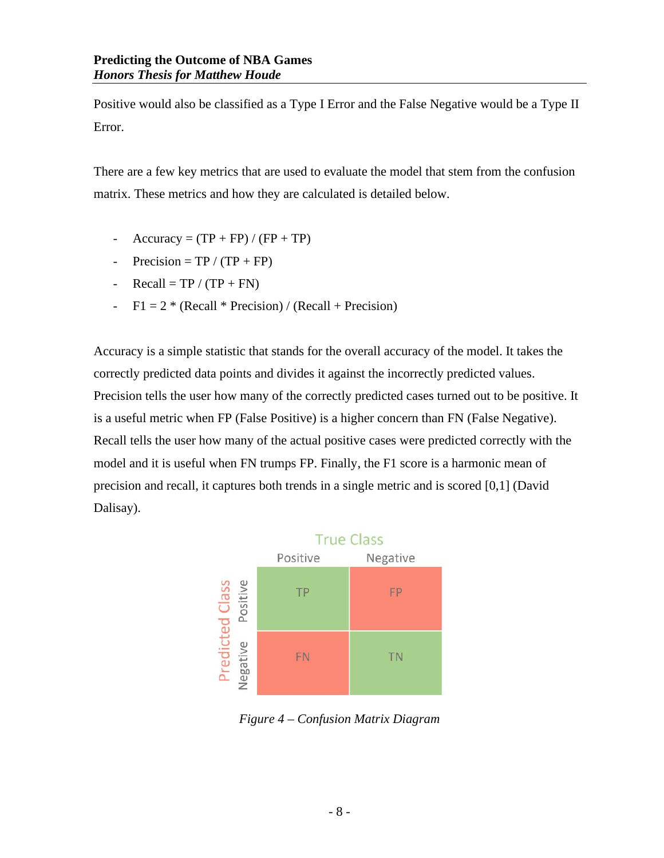Positive would also be classified as a Type I Error and the False Negative would be a Type II Error.

There are a few key metrics that are used to evaluate the model that stem from the confusion matrix. These metrics and how they are calculated is detailed below.

- $Accuracy = (TP + FP) / (FP + TP)$
- Precision =  $TP / (TP + FP)$
- $Recall = TP / (TP + FN)$
- $F1 = 2 * (Recall * Precision) / (Recall + Precision)$

Accuracy is a simple statistic that stands for the overall accuracy of the model. It takes the correctly predicted data points and divides it against the incorrectly predicted values. Precision tells the user how many of the correctly predicted cases turned out to be positive. It is a useful metric when FP (False Positive) is a higher concern than FN (False Negative). Recall tells the user how many of the actual positive cases were predicted correctly with the model and it is useful when FN trumps FP. Finally, the F1 score is a harmonic mean of precision and recall, it captures both trends in a single metric and is scored [0,1] (David Dalisay).



*Figure 4 – Confusion Matrix Diagram*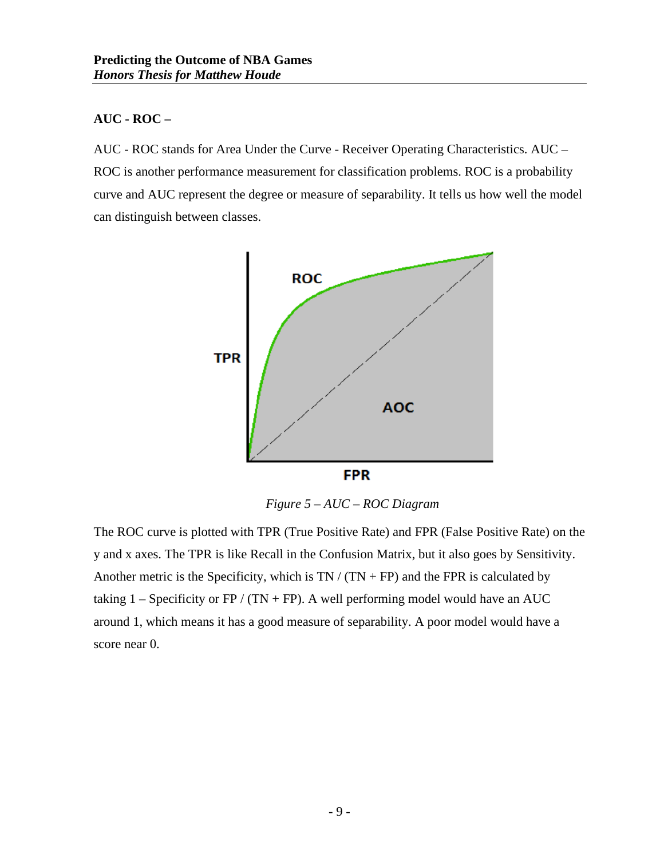#### **AUC - ROC –**

AUC - ROC stands for Area Under the Curve - Receiver Operating Characteristics. AUC – ROC is another performance measurement for classification problems. ROC is a probability curve and AUC represent the degree or measure of separability. It tells us how well the model can distinguish between classes.



 *Figure 5 – AUC – ROC Diagram*

The ROC curve is plotted with TPR (True Positive Rate) and FPR (False Positive Rate) on the y and x axes. The TPR is like Recall in the Confusion Matrix, but it also goes by Sensitivity. Another metric is the Specificity, which is  $TN / (TN + FP)$  and the FPR is calculated by taking  $1 -$  Specificity or FP / (TN + FP). A well performing model would have an AUC around 1, which means it has a good measure of separability. A poor model would have a score near 0.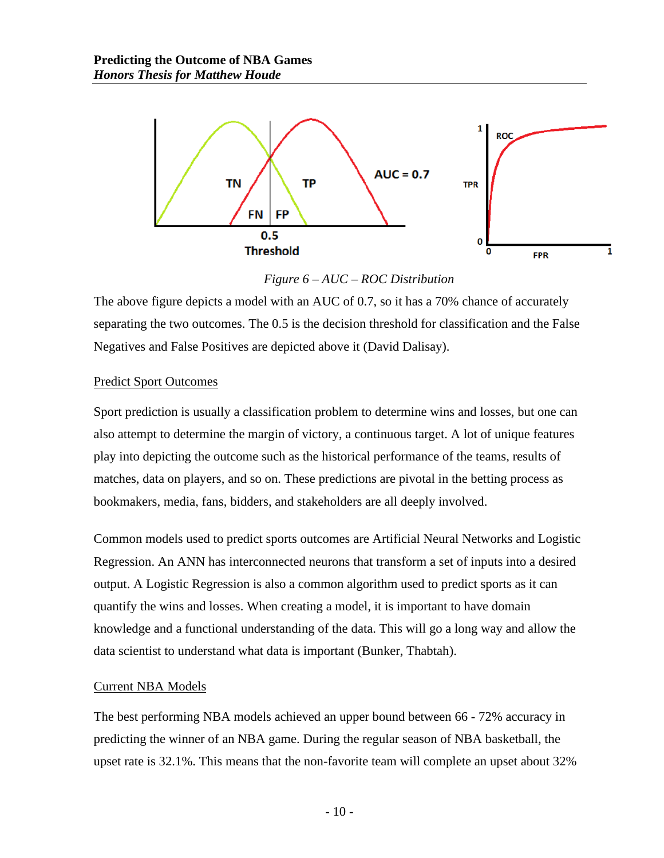

*Figure 6 – AUC – ROC Distribution*

The above figure depicts a model with an AUC of 0.7, so it has a 70% chance of accurately separating the two outcomes. The 0.5 is the decision threshold for classification and the False Negatives and False Positives are depicted above it (David Dalisay).

#### <span id="page-12-0"></span>Predict Sport Outcomes

Sport prediction is usually a classification problem to determine wins and losses, but one can also attempt to determine the margin of victory, a continuous target. A lot of unique features play into depicting the outcome such as the historical performance of the teams, results of matches, data on players, and so on. These predictions are pivotal in the betting process as bookmakers, media, fans, bidders, and stakeholders are all deeply involved.

Common models used to predict sports outcomes are Artificial Neural Networks and Logistic Regression. An ANN has interconnected neurons that transform a set of inputs into a desired output. A Logistic Regression is also a common algorithm used to predict sports as it can quantify the wins and losses. When creating a model, it is important to have domain knowledge and a functional understanding of the data. This will go a long way and allow the data scientist to understand what data is important (Bunker, Thabtah).

#### <span id="page-12-1"></span>Current NBA Models

The best performing NBA models achieved an upper bound between 66 - 72% accuracy in predicting the winner of an NBA game. During the regular season of NBA basketball, the upset rate is 32.1%. This means that the non-favorite team will complete an upset about 32%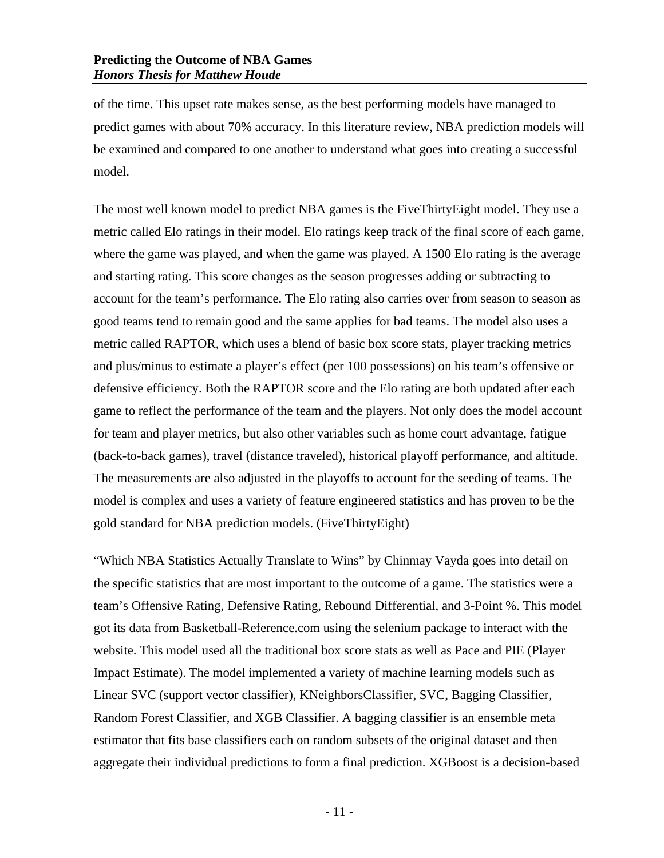of the time. This upset rate makes sense, as the best performing models have managed to predict games with about 70% accuracy. In this literature review, NBA prediction models will be examined and compared to one another to understand what goes into creating a successful model.

The most well known model to predict NBA games is the FiveThirtyEight model. They use a metric called Elo ratings in their model. Elo ratings keep track of the final score of each game, where the game was played, and when the game was played. A 1500 Elo rating is the average and starting rating. This score changes as the season progresses adding or subtracting to account for the team's performance. The Elo rating also carries over from season to season as good teams tend to remain good and the same applies for bad teams. The model also uses a metric called RAPTOR, which uses a blend of basic box score stats, player tracking metrics and plus/minus to estimate a player's effect (per 100 possessions) on his team's offensive or defensive efficiency. Both the RAPTOR score and the Elo rating are both updated after each game to reflect the performance of the team and the players. Not only does the model account for team and player metrics, but also other variables such as home court advantage, fatigue (back-to-back games), travel (distance traveled), historical playoff performance, and altitude. The measurements are also adjusted in the playoffs to account for the seeding of teams. The model is complex and uses a variety of feature engineered statistics and has proven to be the gold standard for NBA prediction models. (FiveThirtyEight)

"Which NBA Statistics Actually Translate to Wins" by Chinmay Vayda goes into detail on the specific statistics that are most important to the outcome of a game. The statistics were a team's Offensive Rating, Defensive Rating, Rebound Differential, and 3-Point %. This model got its data from Basketball-Reference.com using the selenium package to interact with the website. This model used all the traditional box score stats as well as Pace and PIE (Player Impact Estimate). The model implemented a variety of machine learning models such as Linear SVC (support vector classifier), KNeighborsClassifier, SVC, Bagging Classifier, Random Forest Classifier, and XGB Classifier. A bagging classifier is an ensemble meta estimator that fits base classifiers each on random subsets of the original dataset and then aggregate their individual predictions to form a final prediction. XGBoost is a decision-based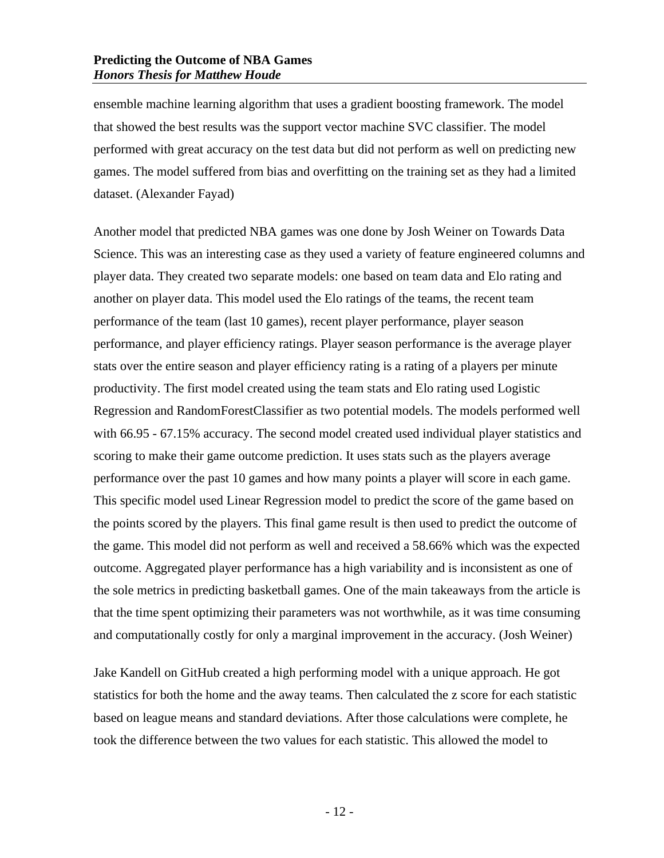ensemble machine learning algorithm that uses a gradient boosting framework. The model that showed the best results was the support vector machine SVC classifier. The model performed with great accuracy on the test data but did not perform as well on predicting new games. The model suffered from bias and overfitting on the training set as they had a limited dataset. (Alexander Fayad)

Another model that predicted NBA games was one done by Josh Weiner on Towards Data Science. This was an interesting case as they used a variety of feature engineered columns and player data. They created two separate models: one based on team data and Elo rating and another on player data. This model used the Elo ratings of the teams, the recent team performance of the team (last 10 games), recent player performance, player season performance, and player efficiency ratings. Player season performance is the average player stats over the entire season and player efficiency rating is a rating of a players per minute productivity. The first model created using the team stats and Elo rating used Logistic Regression and RandomForestClassifier as two potential models. The models performed well with 66.95 - 67.15% accuracy. The second model created used individual player statistics and scoring to make their game outcome prediction. It uses stats such as the players average performance over the past 10 games and how many points a player will score in each game. This specific model used Linear Regression model to predict the score of the game based on the points scored by the players. This final game result is then used to predict the outcome of the game. This model did not perform as well and received a 58.66% which was the expected outcome. Aggregated player performance has a high variability and is inconsistent as one of the sole metrics in predicting basketball games. One of the main takeaways from the article is that the time spent optimizing their parameters was not worthwhile, as it was time consuming and computationally costly for only a marginal improvement in the accuracy. (Josh Weiner)

Jake Kandell on GitHub created a high performing model with a unique approach. He got statistics for both the home and the away teams. Then calculated the z score for each statistic based on league means and standard deviations. After those calculations were complete, he took the difference between the two values for each statistic. This allowed the model to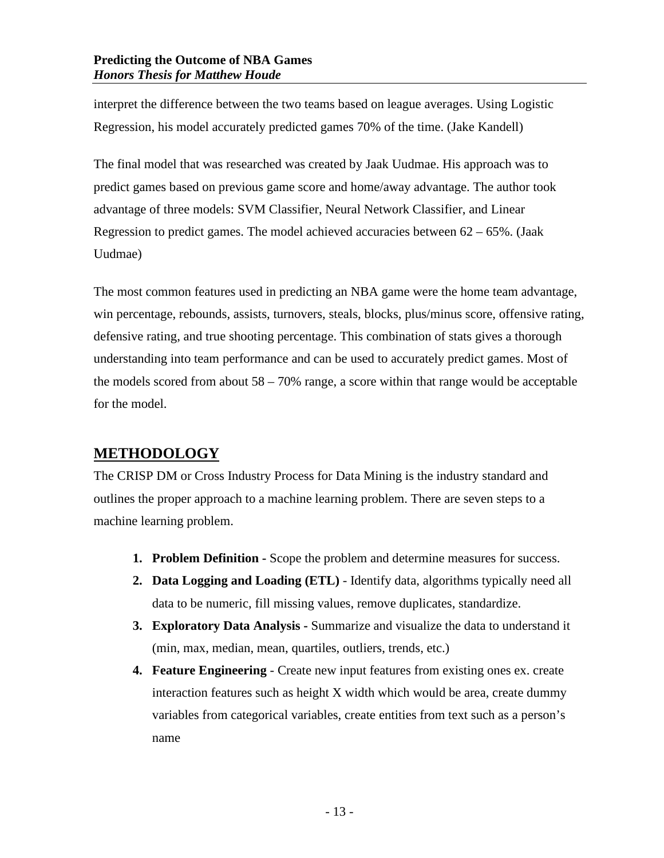interpret the difference between the two teams based on league averages. Using Logistic Regression, his model accurately predicted games 70% of the time. (Jake Kandell)

The final model that was researched was created by Jaak Uudmae. His approach was to predict games based on previous game score and home/away advantage. The author took advantage of three models: SVM Classifier, Neural Network Classifier, and Linear Regression to predict games. The model achieved accuracies between  $62 - 65\%$ . (Jaak Uudmae)

The most common features used in predicting an NBA game were the home team advantage, win percentage, rebounds, assists, turnovers, steals, blocks, plus/minus score, offensive rating, defensive rating, and true shooting percentage. This combination of stats gives a thorough understanding into team performance and can be used to accurately predict games. Most of the models scored from about  $58 - 70\%$  range, a score within that range would be acceptable for the model.

# <span id="page-15-0"></span>**METHODOLOGY**

The CRISP DM or Cross Industry Process for Data Mining is the industry standard and outlines the proper approach to a machine learning problem. There are seven steps to a machine learning problem.

- **1. Problem Definition -** Scope the problem and determine measures for success.
- **2. Data Logging and Loading (ETL)** Identify data, algorithms typically need all data to be numeric, fill missing values, remove duplicates, standardize.
- **3. Exploratory Data Analysis -** Summarize and visualize the data to understand it (min, max, median, mean, quartiles, outliers, trends, etc.)
- **4. Feature Engineering** Create new input features from existing ones ex. create interaction features such as height X width which would be area, create dummy variables from categorical variables, create entities from text such as a person's name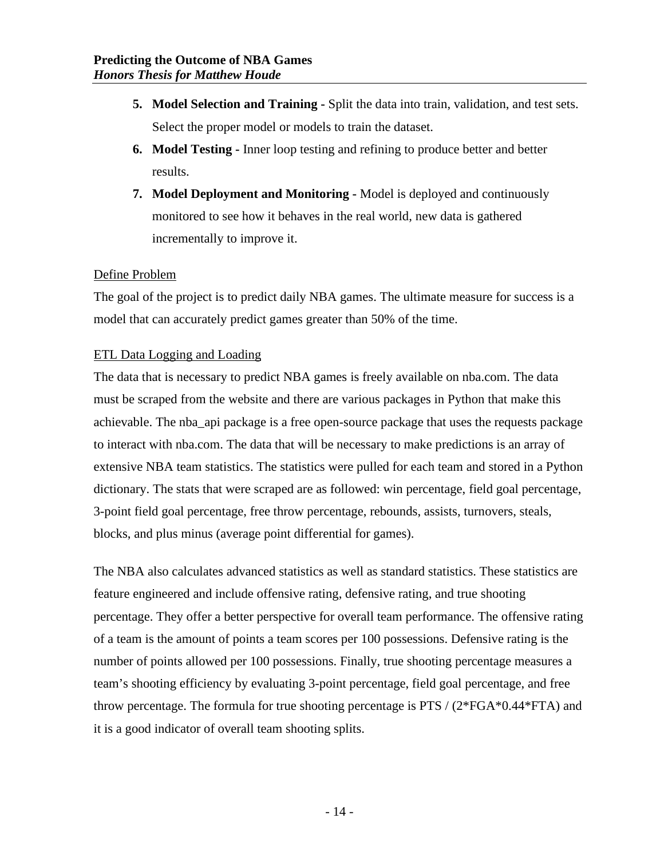- **5. Model Selection and Training -** Split the data into train, validation, and test sets. Select the proper model or models to train the dataset.
- **6. Model Testing -** Inner loop testing and refining to produce better and better results.
- **7. Model Deployment and Monitoring -** Model is deployed and continuously monitored to see how it behaves in the real world, new data is gathered incrementally to improve it.

#### <span id="page-16-0"></span>Define Problem

The goal of the project is to predict daily NBA games. The ultimate measure for success is a model that can accurately predict games greater than 50% of the time.

#### <span id="page-16-1"></span>ETL Data Logging and Loading

The data that is necessary to predict NBA games is freely available on nba.com. The data must be scraped from the website and there are various packages in Python that make this achievable. The nba\_api package is a free open-source package that uses the requests package to interact with nba.com. The data that will be necessary to make predictions is an array of extensive NBA team statistics. The statistics were pulled for each team and stored in a Python dictionary. The stats that were scraped are as followed: win percentage, field goal percentage, 3-point field goal percentage, free throw percentage, rebounds, assists, turnovers, steals, blocks, and plus minus (average point differential for games).

The NBA also calculates advanced statistics as well as standard statistics. These statistics are feature engineered and include offensive rating, defensive rating, and true shooting percentage. They offer a better perspective for overall team performance. The offensive rating of a team is the amount of points a team scores per 100 possessions. Defensive rating is the number of points allowed per 100 possessions. Finally, true shooting percentage measures a team's shooting efficiency by evaluating 3-point percentage, field goal percentage, and free throw percentage. The formula for true shooting percentage is PTS / (2\*FGA\*0.44\*FTA) and it is a good indicator of overall team shooting splits.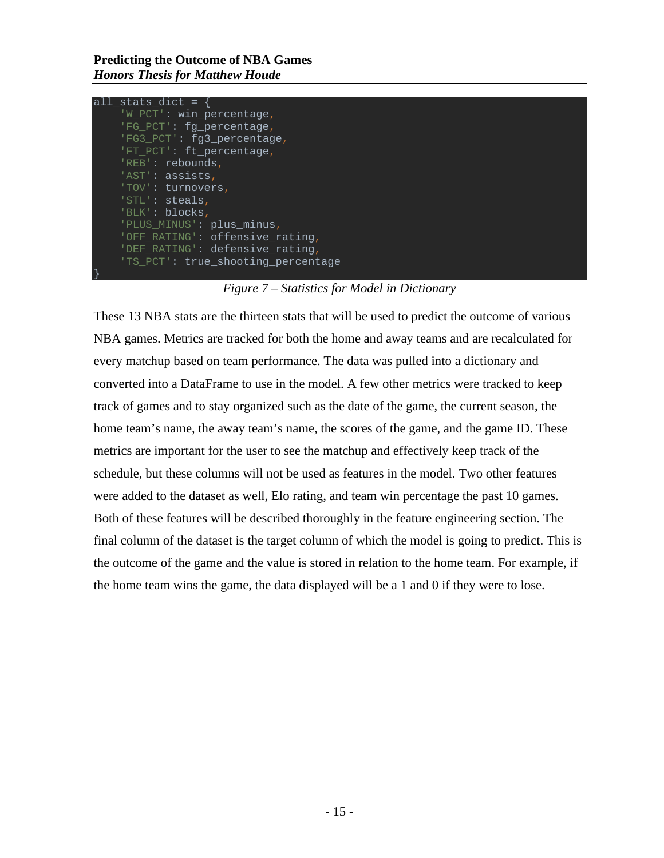**Predicting the Outcome of NBA Games** *Honors Thesis for Matthew Houde*

| all stats dict $=$                 |  |
|------------------------------------|--|
| 'W PCT': win percentage,           |  |
| 'FG PCT': fg percentage,           |  |
| 'FG3_PCT': fg3_percentage,         |  |
| 'FT PCT': ft percentage,           |  |
| 'REB': rebounds,                   |  |
| $'AST':$ assists,                  |  |
| 'TOV': turnovers,                  |  |
| 'STL': steals,                     |  |
| 'BLK': blocks,                     |  |
| 'PLUS MINUS': plus minus,          |  |
| 'OFF_RATING': offensive_rating,    |  |
| 'DEF_RATING': defensive_rating,    |  |
| 'TS PCT': true_shooting_percentage |  |
|                                    |  |

*Figure 7 – Statistics for Model in Dictionary*

These 13 NBA stats are the thirteen stats that will be used to predict the outcome of various NBA games. Metrics are tracked for both the home and away teams and are recalculated for every matchup based on team performance. The data was pulled into a dictionary and converted into a DataFrame to use in the model. A few other metrics were tracked to keep track of games and to stay organized such as the date of the game, the current season, the home team's name, the away team's name, the scores of the game, and the game ID. These metrics are important for the user to see the matchup and effectively keep track of the schedule, but these columns will not be used as features in the model. Two other features were added to the dataset as well, Elo rating, and team win percentage the past 10 games. Both of these features will be described thoroughly in the feature engineering section. The final column of the dataset is the target column of which the model is going to predict. This is the outcome of the game and the value is stored in relation to the home team. For example, if the home team wins the game, the data displayed will be a 1 and 0 if they were to lose.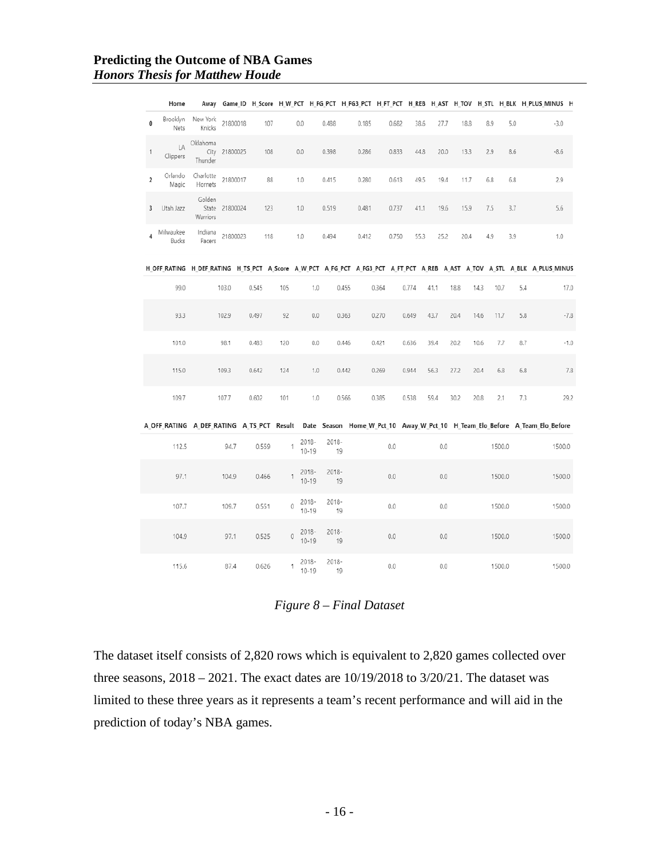#### **Predicting the Outcome of NBA Games** *Honors Thesis for Matthew Houde*

|              | Home               |                             |               |       |             |                       |                |       |       |       |      |      |      |        | Away Game ID H Score H W PCT H FG PCT H FG3 PCT H FT PCT H REB H AST H TOV H STL H BLK H PLUS MINUS H                     |        |
|--------------|--------------------|-----------------------------|---------------|-------|-------------|-----------------------|----------------|-------|-------|-------|------|------|------|--------|---------------------------------------------------------------------------------------------------------------------------|--------|
| 0            | Brooklyn<br>Nets   | New York<br>Knicks          | 21800018      | 107   |             | 0.0                   | 0.488          | 0.185 | 0.682 | 38.6  | 27.7 | 18.8 | 8.9  | 5.0    | $-3.0$                                                                                                                    |        |
| $\mathbf{1}$ | LA<br>Clippers     | Oklahoma<br>Thunder         | City 21800025 | 108   |             | 0.0                   | 0.398          | 0.286 | 0.833 | 44.8  | 20.0 | 13.3 | 2.9  | 8.6    | $-8.6$                                                                                                                    |        |
| 2            | Orlando<br>Magic   | Charlotte<br>Hornets        | 21800017      | 88    |             | 1.0                   | 0.415          | 0.280 | 0.613 | 49.5  | 19.4 | 11.7 | 6.8  | 6.8    | 2.9                                                                                                                       |        |
| 3            | Utah Jazz          | Golden<br>State<br>Warriors | 21800024      | 123   |             | 1.0                   | 0.519          | 0.481 | 0.737 | 41.1  | 19.6 | 15.9 | 7.5  | 3.7    | 5.6                                                                                                                       |        |
| 4            | Milwaukee<br>Bucks | Indiana<br>Pacers           | 21800023      | 118   |             | 1.0                   | 0.494          | 0.412 | 0.750 | 55.3  | 25.2 | 20.4 | 4.9  | 3.9    | 1.0                                                                                                                       |        |
|              |                    |                             |               |       |             |                       |                |       |       |       |      |      |      |        | H_OFF_RATING H_DEF_RATING H_TS_PCT A_Score A_W_PCT A_FG_PCT A_FG3_PCT A_FT_PCT A_REB A_AST A_TOV A_STL A_BLK A_PLUS_MINUS |        |
|              |                    |                             |               |       |             |                       |                |       |       |       |      |      |      |        |                                                                                                                           |        |
|              | 99.0               |                             | 103.0         | 0.545 | 105         | 1.0                   | 0.455          |       | 0.364 | 0.774 | 41.1 | 18.8 | 14.3 | 10.7   | 5.4                                                                                                                       | 17.0   |
|              | 93.3               |                             | 102.9         | 0.497 | 92          | 0.0                   | 0.363          |       | 0.270 | 0.649 | 43.7 | 20.4 | 14.6 | 11.7   | 5.8                                                                                                                       | $-7.8$ |
|              | 101.0              |                             | 98.1          | 0.483 | 120         | $0.0\,$               | 0.446          |       | 0.421 | 0.636 | 39.4 | 20.2 | 10.6 | 7.7    | 8.7                                                                                                                       | $-1.0$ |
|              | 115.0              |                             | 109.3         | 0.642 | 124         | 1.0                   | 0.442          |       | 0.269 | 0.944 | 56.3 | 27.2 | 20.4 | 6.8    | 6.8                                                                                                                       | 7.8    |
|              | 109.7              |                             | 107.7         | 0.602 | 101         | 1.0                   | 0.566          |       | 0.385 | 0.538 | 59.4 | 30.2 | 20.8 | 2.1    | 7.3                                                                                                                       | 29.2   |
|              |                    |                             |               |       |             |                       |                |       |       |       |      |      |      |        | A OFF RATING A DEF RATING A TS PCT Result Date Season Home W Pct 10 Away W Pct 10 H Team Elo Before A Team Elo Before     |        |
|              | 112.5              |                             | 94.7          | 0.559 | 1           | 2018-<br>$10 - 19$    | 2018-<br>19    |       | 0.0   |       | 0.0  |      |      | 1500.0 |                                                                                                                           | 1500.0 |
|              | 97.1               |                             | 104.9         | 0.466 | 1           | 2018-<br>$10 - 19$    | 2018-<br>19    |       | 0.0   |       | 0.0  |      |      | 1500.0 |                                                                                                                           | 1500.0 |
|              | 107.7              |                             | 109.7         | 0.551 | $\mathbf 0$ | 2018-<br>$10 - 19$    | 2018-<br>19    |       | 0.0   |       | 0.0  |      |      | 1500.0 |                                                                                                                           | 1500.0 |
|              | 104.9              |                             | 97.1          | 0.525 | $\circ$     | $2018 -$<br>$10 - 19$ | $2018 -$<br>19 |       | 0.0   |       | 0.0  |      |      | 1500.0 |                                                                                                                           | 1500.0 |
|              | 115.6              |                             | 87.4          | 0.626 | 1           | 2018-<br>$10 - 19$    | 2018-<br>19    |       | 0.0   |       | 0.0  |      |      | 1500.0 |                                                                                                                           | 1500.0 |

#### *Figure 8 – Final Dataset*

The dataset itself consists of 2,820 rows which is equivalent to 2,820 games collected over three seasons, 2018 – 2021. The exact dates are 10/19/2018 to 3/20/21. The dataset was limited to these three years as it represents a team's recent performance and will aid in the prediction of today's NBA games.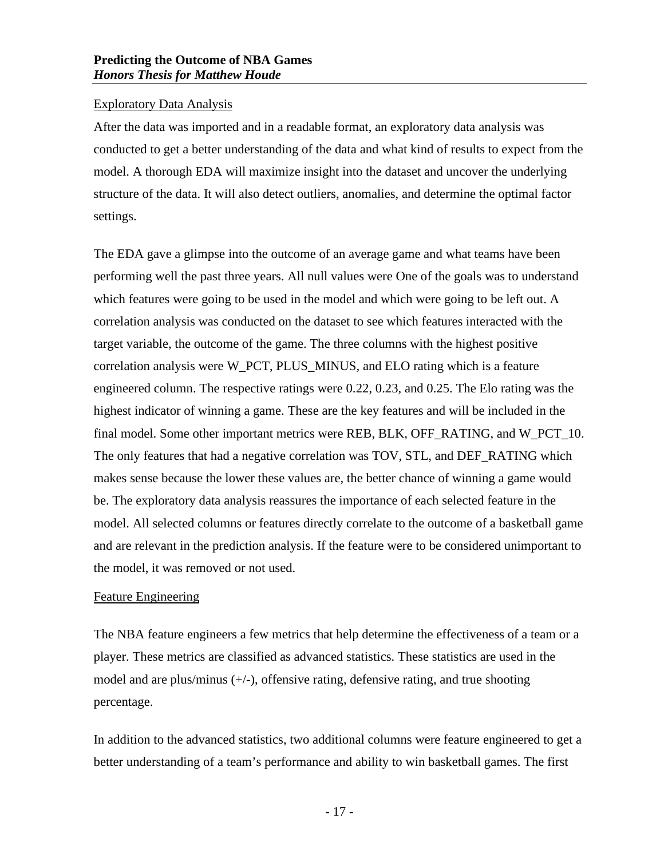#### <span id="page-19-0"></span>Exploratory Data Analysis

After the data was imported and in a readable format, an exploratory data analysis was conducted to get a better understanding of the data and what kind of results to expect from the model. A thorough EDA will maximize insight into the dataset and uncover the underlying structure of the data. It will also detect outliers, anomalies, and determine the optimal factor settings.

The EDA gave a glimpse into the outcome of an average game and what teams have been performing well the past three years. All null values were One of the goals was to understand which features were going to be used in the model and which were going to be left out. A correlation analysis was conducted on the dataset to see which features interacted with the target variable, the outcome of the game. The three columns with the highest positive correlation analysis were W\_PCT, PLUS\_MINUS, and ELO rating which is a feature engineered column. The respective ratings were 0.22, 0.23, and 0.25. The Elo rating was the highest indicator of winning a game. These are the key features and will be included in the final model. Some other important metrics were REB, BLK, OFF\_RATING, and W\_PCT\_10. The only features that had a negative correlation was TOV, STL, and DEF\_RATING which makes sense because the lower these values are, the better chance of winning a game would be. The exploratory data analysis reassures the importance of each selected feature in the model. All selected columns or features directly correlate to the outcome of a basketball game and are relevant in the prediction analysis. If the feature were to be considered unimportant to the model, it was removed or not used.

#### <span id="page-19-1"></span>Feature Engineering

The NBA feature engineers a few metrics that help determine the effectiveness of a team or a player. These metrics are classified as advanced statistics. These statistics are used in the model and are plus/minus (+/-), offensive rating, defensive rating, and true shooting percentage.

In addition to the advanced statistics, two additional columns were feature engineered to get a better understanding of a team's performance and ability to win basketball games. The first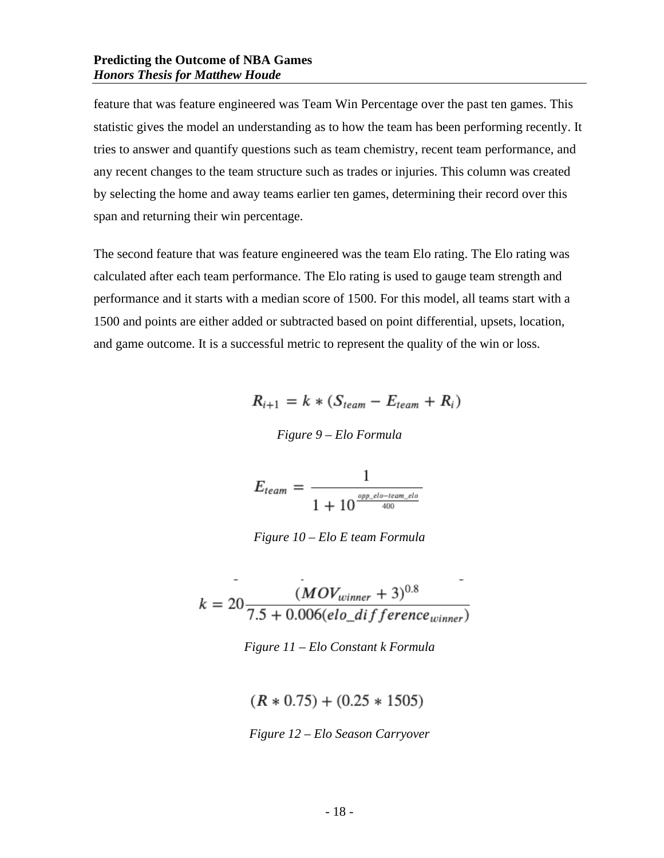feature that was feature engineered was Team Win Percentage over the past ten games. This statistic gives the model an understanding as to how the team has been performing recently. It tries to answer and quantify questions such as team chemistry, recent team performance, and any recent changes to the team structure such as trades or injuries. This column was created by selecting the home and away teams earlier ten games, determining their record over this span and returning their win percentage.

The second feature that was feature engineered was the team Elo rating. The Elo rating was calculated after each team performance. The Elo rating is used to gauge team strength and performance and it starts with a median score of 1500. For this model, all teams start with a 1500 and points are either added or subtracted based on point differential, upsets, location, and game outcome. It is a successful metric to represent the quality of the win or loss.

$$
R_{i+1} = k * (S_{team} - E_{team} + R_i)
$$

*Figure 9 – Elo Formula*

$$
E_{team} = \frac{1}{1 + 10^{\frac{opp_c}{d0} - team_c l b}}
$$

*Figure 10 – Elo E team Formula*

$$
k = 20 \frac{(MOV_{winner} + 3)^{0.8}}{7.5 + 0.006(elo\_difference_{winner})}
$$

*Figure 11 – Elo Constant k Formula*

 $(R * 0.75) + (0.25 * 1505)$ 

*Figure 12 – Elo Season Carryover*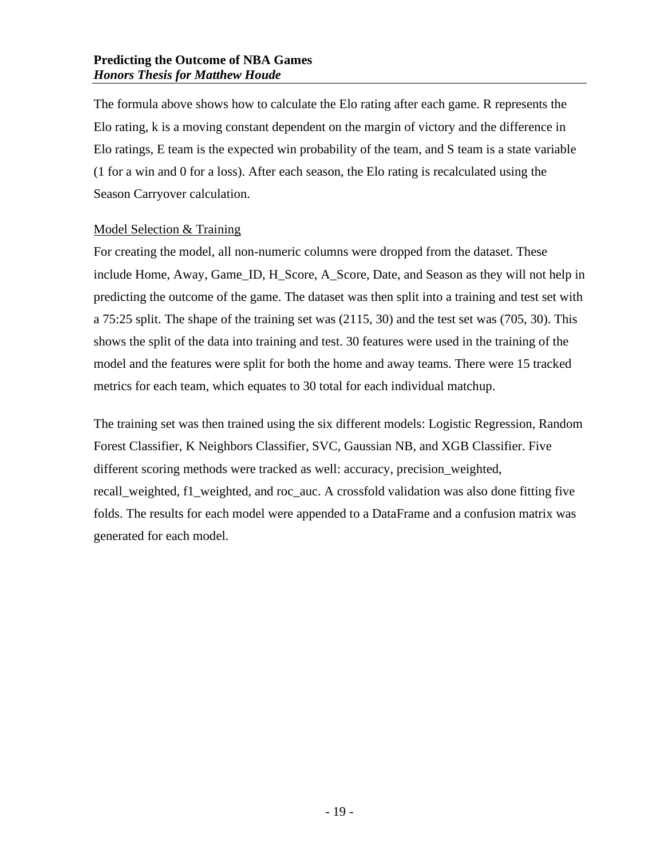The formula above shows how to calculate the Elo rating after each game. R represents the Elo rating, k is a moving constant dependent on the margin of victory and the difference in Elo ratings, E team is the expected win probability of the team, and S team is a state variable (1 for a win and 0 for a loss). After each season, the Elo rating is recalculated using the Season Carryover calculation.

#### <span id="page-21-0"></span>Model Selection & Training

For creating the model, all non-numeric columns were dropped from the dataset. These include Home, Away, Game\_ID, H\_Score, A\_Score, Date, and Season as they will not help in predicting the outcome of the game. The dataset was then split into a training and test set with a 75:25 split. The shape of the training set was (2115, 30) and the test set was (705, 30). This shows the split of the data into training and test. 30 features were used in the training of the model and the features were split for both the home and away teams. There were 15 tracked metrics for each team, which equates to 30 total for each individual matchup.

The training set was then trained using the six different models: Logistic Regression, Random Forest Classifier, K Neighbors Classifier, SVC, Gaussian NB, and XGB Classifier. Five different scoring methods were tracked as well: accuracy, precision\_weighted, recall weighted, f1 weighted, and roc auc. A crossfold validation was also done fitting five folds. The results for each model were appended to a DataFrame and a confusion matrix was generated for each model.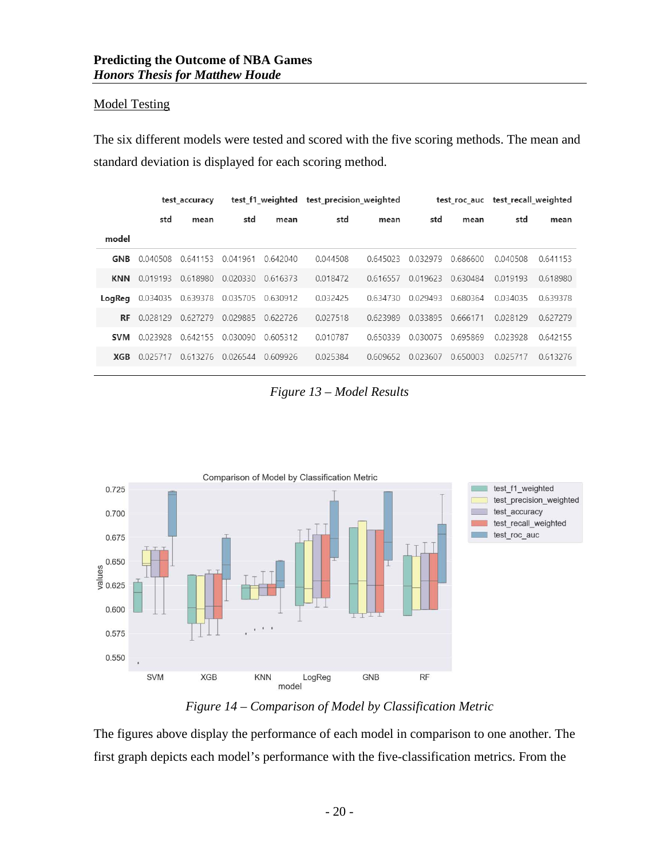#### <span id="page-22-0"></span>Model Testing

The six different models were tested and scored with the five scoring methods. The mean and standard deviation is displayed for each scoring method.

|            | test accuracy |          |             | test f1 weighted | test precision weighted |          |          | test roc auc | test recall weighted |          |  |
|------------|---------------|----------|-------------|------------------|-------------------------|----------|----------|--------------|----------------------|----------|--|
|            | std           | mean     | std<br>mean |                  | std                     | mean     | std      | mean         | std                  | mean     |  |
| model      |               |          |             |                  |                         |          |          |              |                      |          |  |
| GNB        | 0.040508      | 0.641153 | 0.041961    | 0.642040         | 0.044508                | 0.645023 | 0.032979 | 0.686600     |                      | 0.641153 |  |
| <b>KNN</b> | 0.019193      | 0.618980 | 0.020330    | 0616373          | 0.018472                | 0.616557 | 0.019623 | 0.630484     | 0.019193             | 0.618980 |  |
| LogReg     | 0.034035      | 0.639378 | 0.035705    | 0.630912         | 0.032425                | 0.634730 | 0.029493 | 0.680364     | 0.034035             | 0.639378 |  |
| <b>RF</b>  | 0.028129      | 0.627279 | 0.029885    | 0.622726         | 0.027518                | 0.623989 | 0.033895 | 0.666171     | 0.028129             | 0.627279 |  |
| <b>SVM</b> | 0.023928      | 0.642155 | 0.030090    | 0.605312         | 0.010787                | 0.650339 | 0.030075 | 0.695869     | 0.023928             | 0.642155 |  |
| XGB        | 0025717       | 0.613276 | 0.026544    | 0.609926         | 0.025384                | 0.609652 | 0.023607 | 0.650003     | 0.025717             | 0.613276 |  |

*Figure 13 – Model Results*



*Figure 14 – Comparison of Model by Classification Metric* 

The figures above display the performance of each model in comparison to one another. The first graph depicts each model's performance with the five-classification metrics. From the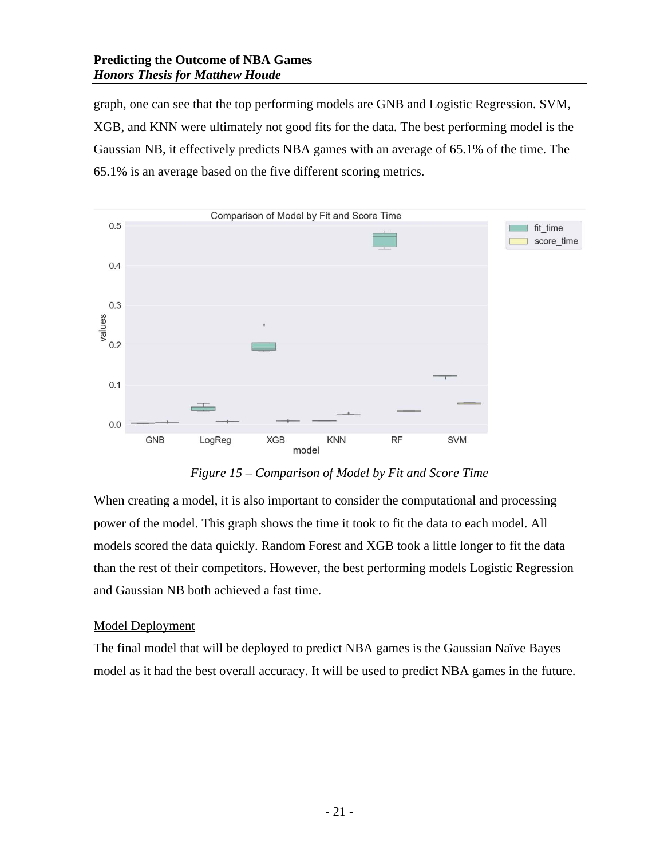graph, one can see that the top performing models are GNB and Logistic Regression. SVM, XGB, and KNN were ultimately not good fits for the data. The best performing model is the Gaussian NB, it effectively predicts NBA games with an average of 65.1% of the time. The 65.1% is an average based on the five different scoring metrics.



*Figure 15 – Comparison of Model by Fit and Score Time* 

When creating a model, it is also important to consider the computational and processing power of the model. This graph shows the time it took to fit the data to each model. All models scored the data quickly. Random Forest and XGB took a little longer to fit the data than the rest of their competitors. However, the best performing models Logistic Regression and Gaussian NB both achieved a fast time.

#### <span id="page-23-0"></span>Model Deployment

The final model that will be deployed to predict NBA games is the Gaussian Naïve Bayes model as it had the best overall accuracy. It will be used to predict NBA games in the future.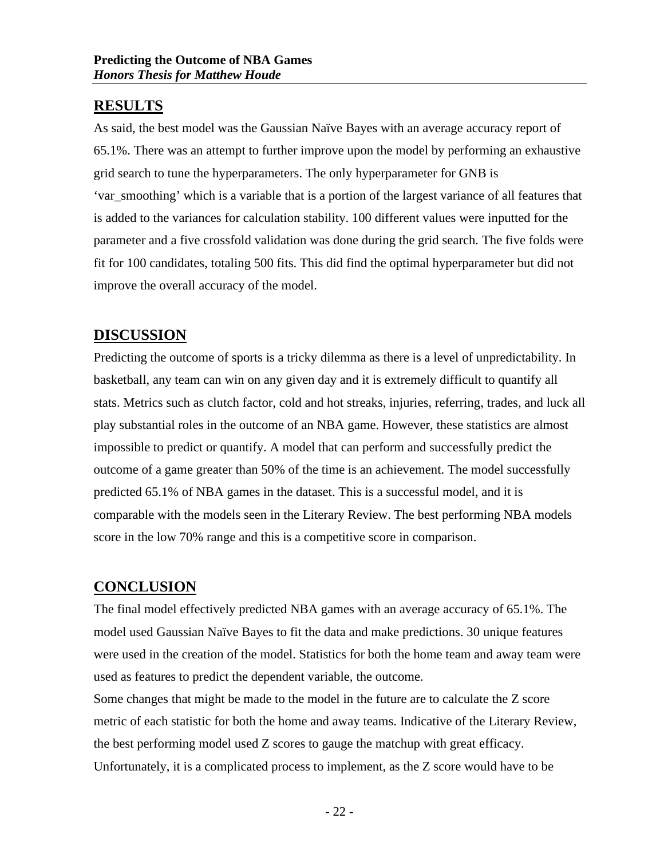# <span id="page-24-0"></span>**RESULTS**

As said, the best model was the Gaussian Naïve Bayes with an average accuracy report of 65.1%. There was an attempt to further improve upon the model by performing an exhaustive grid search to tune the hyperparameters. The only hyperparameter for GNB is 'var\_smoothing' which is a variable that is a portion of the largest variance of all features that is added to the variances for calculation stability. 100 different values were inputted for the parameter and a five crossfold validation was done during the grid search. The five folds were fit for 100 candidates, totaling 500 fits. This did find the optimal hyperparameter but did not improve the overall accuracy of the model.

# <span id="page-24-1"></span>**DISCUSSION**

Predicting the outcome of sports is a tricky dilemma as there is a level of unpredictability. In basketball, any team can win on any given day and it is extremely difficult to quantify all stats. Metrics such as clutch factor, cold and hot streaks, injuries, referring, trades, and luck all play substantial roles in the outcome of an NBA game. However, these statistics are almost impossible to predict or quantify. A model that can perform and successfully predict the outcome of a game greater than 50% of the time is an achievement. The model successfully predicted 65.1% of NBA games in the dataset. This is a successful model, and it is comparable with the models seen in the Literary Review. The best performing NBA models score in the low 70% range and this is a competitive score in comparison.

# <span id="page-24-2"></span>**CONCLUSION**

The final model effectively predicted NBA games with an average accuracy of 65.1%. The model used Gaussian Naïve Bayes to fit the data and make predictions. 30 unique features were used in the creation of the model. Statistics for both the home team and away team were used as features to predict the dependent variable, the outcome.

Some changes that might be made to the model in the future are to calculate the Z score metric of each statistic for both the home and away teams. Indicative of the Literary Review, the best performing model used Z scores to gauge the matchup with great efficacy. Unfortunately, it is a complicated process to implement, as the Z score would have to be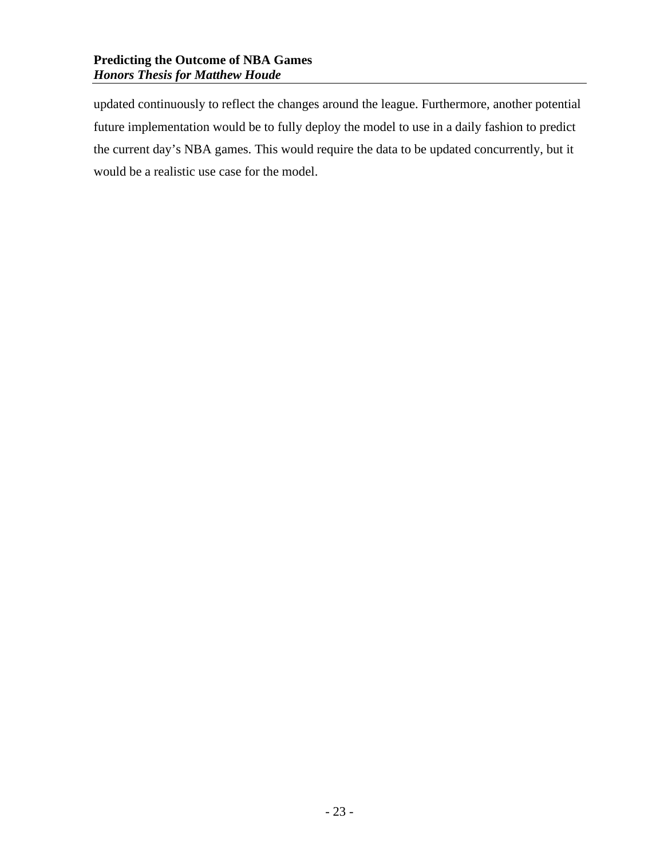updated continuously to reflect the changes around the league. Furthermore, another potential future implementation would be to fully deploy the model to use in a daily fashion to predict the current day's NBA games. This would require the data to be updated concurrently, but it would be a realistic use case for the model.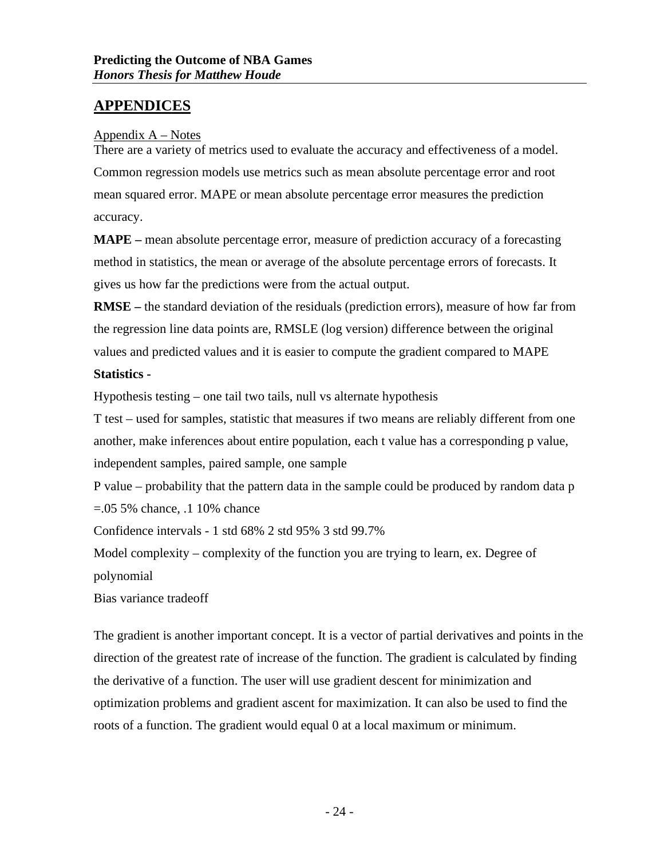# <span id="page-26-0"></span>**APPENDICES**

#### <span id="page-26-1"></span>Appendix  $A - Notes$

There are a variety of metrics used to evaluate the accuracy and effectiveness of a model. Common regression models use metrics such as mean absolute percentage error and root mean squared error. MAPE or mean absolute percentage error measures the prediction accuracy.

**MAPE –** mean absolute percentage error, measure of prediction accuracy of a forecasting method in statistics, the mean or average of the absolute percentage errors of forecasts. It gives us how far the predictions were from the actual output.

**RMSE –** the standard deviation of the residuals (prediction errors), measure of how far from the regression line data points are, RMSLE (log version) difference between the original values and predicted values and it is easier to compute the gradient compared to MAPE

#### **Statistics -**

Hypothesis testing – one tail two tails, null vs alternate hypothesis

T test – used for samples, statistic that measures if two means are reliably different from one another, make inferences about entire population, each t value has a corresponding p value, independent samples, paired sample, one sample

P value – probability that the pattern data in the sample could be produced by random data p =.05 5% chance, .1 10% chance

Confidence intervals - 1 std 68% 2 std 95% 3 std 99.7%

Model complexity – complexity of the function you are trying to learn, ex. Degree of polynomial

Bias variance tradeoff

The gradient is another important concept. It is a vector of partial derivatives and points in the direction of the greatest rate of increase of the function. The gradient is calculated by finding the derivative of a function. The user will use gradient descent for minimization and optimization problems and gradient ascent for maximization. It can also be used to find the roots of a function. The gradient would equal 0 at a local maximum or minimum.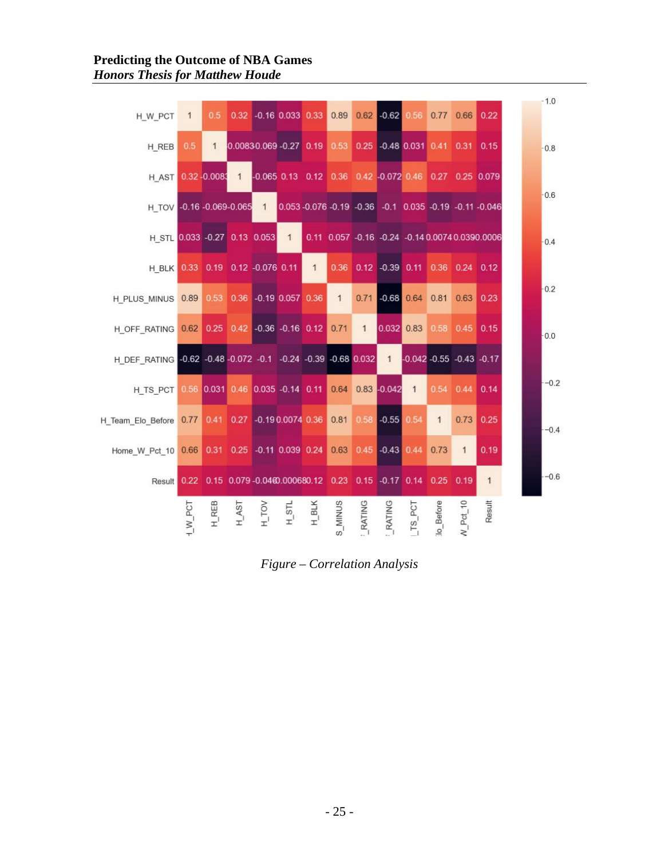| H_W_PCT                                                            | $\mathbf{1}$             | 0.5              |                    |          | 0.32 -0.16 0.033 0.33 0.89                                      |                |                |               | $0.62$ -0.62 0.56               |                               |              | 0.77 0.66 0.22 |                                                 | $-1.0$ |        |
|--------------------------------------------------------------------|--------------------------|------------------|--------------------|----------|-----------------------------------------------------------------|----------------|----------------|---------------|---------------------------------|-------------------------------|--------------|----------------|-------------------------------------------------|--------|--------|
| H REB                                                              | 0.5                      | $\mathbf{1}$     |                    |          | 0.00830.069 -0.27 0.19 0.53                                     |                |                |               | 0.25 -0.48 0.031 0.41 0.31 0.15 |                               |              |                |                                                 |        | $-0.8$ |
| H AST                                                              |                          | $0.32 - 0.008$ 1 |                    |          | -0.065 0.13 0.12 0.36 0.42 -0.072 0.46 0.27 0.25 0.079          |                |                |               |                                 |                               |              |                |                                                 |        |        |
| H TOV -0.16 -0.069-0.065 1                                         |                          |                  |                    |          | 0.053 -0.076 -0.19 -0.36 -0.1 0.035 -0.19 -0.11 -0.046          |                |                |               |                                 |                               |              |                |                                                 |        | $-0.6$ |
| H STL 0.033 -0.27 0.13 0.053 1                                     |                          |                  |                    |          |                                                                 |                |                |               |                                 |                               |              |                | 0.11 0.057 -0.16 -0.24 -0.14 0.0074 0.0390.0006 | $-0.4$ |        |
| H BLK 0.33 0.19 0.12 -0.076 0.11                                   |                          |                  |                    |          |                                                                 | $\overline{1}$ | 0.36           |               | 0.12 -0.39 0.11 0.36 0.24 0.12  |                               |              |                |                                                 |        |        |
| H_PLUS_MINUS 0.89                                                  |                          |                  |                    |          | 0.53 0.36 -0.19 0.057 0.36                                      |                | $\mathbf{1}$   | 0.71          |                                 | $-0.68$ 0.64                  | 0.81         | 0.63           | 0.23                                            |        | $-0.2$ |
| H_OFF_RATING 0.62 0.25 0.42 -0.36 -0.16 0.12                       |                          |                  |                    |          |                                                                 |                | 0.71           | $\mathbf{1}$  | 0.032 0.83 0.58                 |                               |              | $0.45$ 0.15    |                                                 |        | 0.0    |
| H DEF RATING -0.62 -0.48 -0.072 -0.1 -0.24 -0.39 -0.68 0.032       |                          |                  |                    |          |                                                                 |                |                |               | $\overline{1}$                  | $-0.042 - 0.55 - 0.43 - 0.17$ |              |                |                                                 |        |        |
| H TS PCT                                                           |                          |                  |                    |          | 0.56 0.031 0.46 0.035 -0.14 0.11 0.64 0.83 -0.042               |                |                |               |                                 | $\overline{1}$                | 0.54         | 0.44           | 0.14                                            |        | $-0.2$ |
| H_Team_Elo_Before 0.77                                             |                          |                  |                    |          | 0.41 0.27 -0.19 0.0074 0.36 0.81                                |                |                |               | $0.58 - 0.55$                   | 0.54                          | $\mathbf{1}$ | 0.73           | 0.25                                            |        | $-0.4$ |
| Home W Pct 10 0.66 0.31 0.25 -0.11 0.039 0.24 0.63 0.45 -0.43 0.44 |                          |                  |                    |          |                                                                 |                |                |               |                                 |                               | 0.73         | $\mathbf{1}$   | 0.19                                            |        |        |
| Result                                                             |                          |                  |                    |          | 0.22 0.15 0.079-0.0460.000680.12 0.23 0.15 -0.17 0.14 0.25 0.19 |                |                |               |                                 |                               |              |                | $\overline{1}$                                  |        | $-0.6$ |
|                                                                    | $1\text{W}_{\text{PCT}}$ | $H_REB$          | $H$ <sub>AST</sub> | $H_$ TOV | $H$ s <sub>T</sub>                                              | $H$ BLK        | <b>S_MINUS</b> | <b>RATING</b> | <b>RATING</b>                   | $LTS_PCT$                     | lo_Before    | $N$ Pct 10     | Result                                          |        |        |

*Figure – Correlation Analysis*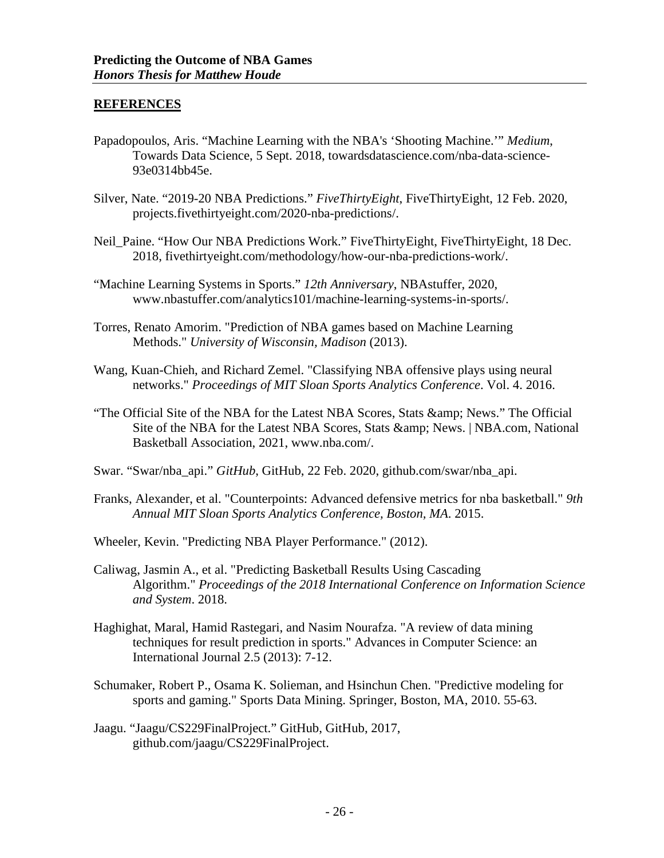#### <span id="page-28-0"></span>**REFERENCES**

- Papadopoulos, Aris. "Machine Learning with the NBA's 'Shooting Machine.'" *Medium*, Towards Data Science, 5 Sept. 2018, towardsdatascience.com/nba-data-science-93e0314bb45e.
- Silver, Nate. "2019-20 NBA Predictions." *FiveThirtyEight*, FiveThirtyEight, 12 Feb. 2020, projects.fivethirtyeight.com/2020-nba-predictions/.
- Neil\_Paine. "How Our NBA Predictions Work." FiveThirtyEight, FiveThirtyEight, 18 Dec. 2018, fivethirtyeight.com/methodology/how-our-nba-predictions-work/.
- "Machine Learning Systems in Sports." *12th Anniversary*, NBAstuffer, 2020, www.nbastuffer.com/analytics101/machine-learning-systems-in-sports/.
- Torres, Renato Amorim. "Prediction of NBA games based on Machine Learning Methods." *University of Wisconsin, Madison* (2013).
- Wang, Kuan-Chieh, and Richard Zemel. "Classifying NBA offensive plays using neural networks." *Proceedings of MIT Sloan Sports Analytics Conference*. Vol. 4. 2016.
- "The Official Site of the NBA for the Latest NBA Scores, Stats & amp; News." The Official Site of the NBA for the Latest NBA Scores, Stats & amp; News. | NBA.com, National Basketball Association, 2021, www.nba.com/.
- Swar. "Swar/nba\_api." *GitHub*, GitHub, 22 Feb. 2020, github.com/swar/nba\_api.
- Franks, Alexander, et al. "Counterpoints: Advanced defensive metrics for nba basketball." *9th Annual MIT Sloan Sports Analytics Conference, Boston, MA*. 2015.
- Wheeler, Kevin. "Predicting NBA Player Performance." (2012).
- Caliwag, Jasmin A., et al. "Predicting Basketball Results Using Cascading Algorithm." *Proceedings of the 2018 International Conference on Information Science and System*. 2018.
- Haghighat, Maral, Hamid Rastegari, and Nasim Nourafza. "A review of data mining techniques for result prediction in sports." Advances in Computer Science: an International Journal 2.5 (2013): 7-12.
- Schumaker, Robert P., Osama K. Solieman, and Hsinchun Chen. "Predictive modeling for sports and gaming." Sports Data Mining. Springer, Boston, MA, 2010. 55-63.
- Jaagu. "Jaagu/CS229FinalProject." GitHub, GitHub, 2017, github.com/jaagu/CS229FinalProject.